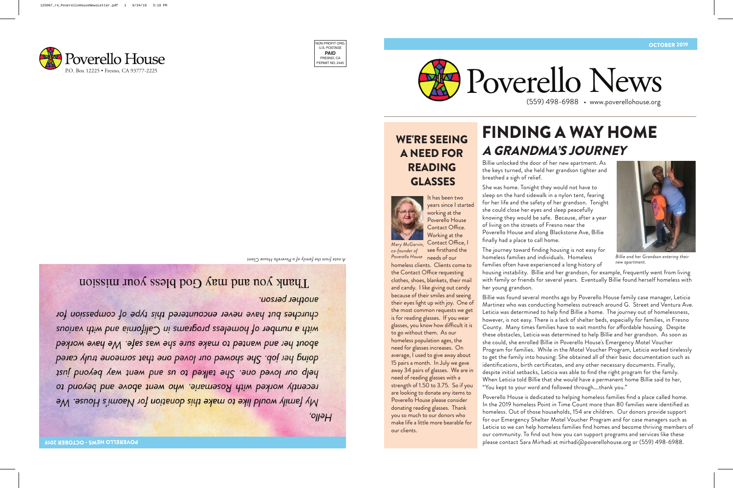

WE'RE SEEING A NEED FOR READING GLASSES



It has been two years since I started working at the Poverello House Contact Office.

*Mary McGarvin, co-founder of* 

Working at the Contact Office, I see firsthand the Poverello House needs of our

homeless clients. Clients come to the Contact Office requesting clothes, shoes, blankets, their mail and candy. I like giving out candy because of their smiles and seeing their eyes light up with joy. One of the most common requests we get is for reading glasses. If you wear glasses, you know how difficult it is to go without them. As our homeless population ages, the need for glasses increases. On average, I used to give away about 15 pairs a month. In July we gave away 34 pairs of glasses. We are in need of reading glasses with a strength of 1.50 to 3.75. So if you are looking to donate any items to Poverello House please consider donating reading glasses. Thank you so much to our donors who make life a little more bearable for our clients.

## FINDING A WAY HOME A GRANDMA'S JOURNEY

Billie unlocked the door of her new apartment. As the keys turned, she held her grandson tighter and breathed a sigh of relief.

She was home. Tonight they would not have to sleep on the hard sidewalk in a nylon tent, fearing for her life and the safety of her grandson. Tonight she could close her eyes and sleep peacefully knowing they would be safe. Because, after a year of living on the streets of Fresno near the Poverello House and along Blackstone Ave, Billie finally had a place to call home.



*Billie and her Grandson entering their new apartment.*

The journey toward finding housing is not easy for homeless families and individuals. Homeless families often have experienced a long history of

housing instability. Billie and her grandson, for example, frequently went from living with family or friends for several years. Eventually Billie found herself homeless with her young grandson.

Billie was found several months ago by Poverello House family case manager, Leticia Martinez who was conducting homeless outreach around G. Street and Ventura Ave. Leticia was determined to help find Billie a home. The journey out of homelessness, however, is not easy. There is a lack of shelter beds, especially for families, in Fresno County. Many times families have to wait months for affordable housing. Despite these obstacles, Leticia was determined to help Billie and her grandson. As soon as she could, she enrolled Billie in Poverello House's Emergency Motel Voucher Program for families. While in the Motel Voucher Program, Leticia worked tirelessly to get the family into housing: She obtained all of their basic documentation such as identifications, birth certificates, and any other necessary documents. Finally, despite initial setbacks, Leticia was able to find the right program for the family. When Leticia told Billie that she would have a permanent home Billie said to her, "You kept to your word and followed through….thank you."

Poverello House is dedicated to helping homeless families find a place called home. In the 2019 homeless Point in Time Count more than 80 families were identified as homeless. Out of those households, 154 are children. Our donors provide support for our Emergency Shelter Motel Voucher Program and for case managers such as Leticia so we can help homeless families find homes and become thriving members of our community. To find out how you can support programs and services like these please contact Sara Mirhadi at mirhadi@poverellohouse.org or (559) 498-6988.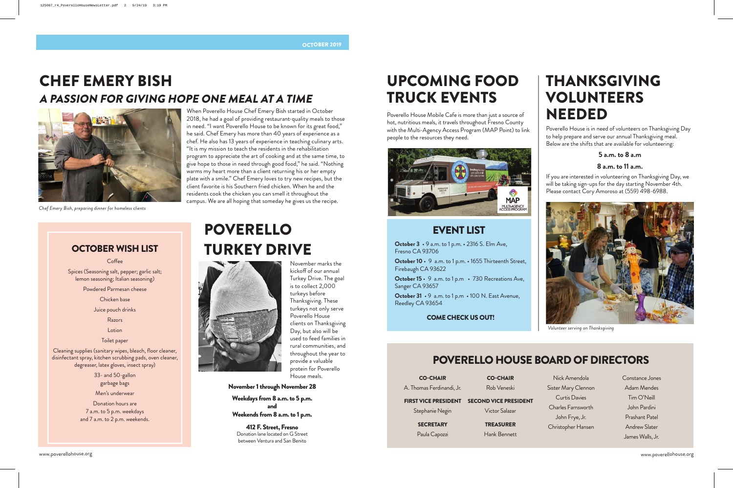## CHEF EMERY BISH A PASSION FOR GIVING HOPE ONE MEAL AT A TIME



*Chef Emery Bish, preparing dinner for homeless clients*

#### When Poverello House Chef Emery Bish started in October 2018, he had a goal of providing restaurant-quality meals to those in need. "I want Poverello House to be known for its great food," he said. Chef Emery has more than 40 years of experience as a chef. He also has 13 years of experience in teaching culinary arts. "It is my mission to teach the residents in the rehabilitation program to appreciate the art of cooking and at the same time, to give hope to those in need through good food," he said. "Nothing warms my heart more than a client returning his or her empty plate with a smile." Chef Emery loves to try new recipes, but the client favorite is his Southern fried chicken. When he and the residents cook the chicken you can smell it throughout the campus. We are all hoping that someday he gives us the recipe.

### OCTOBER WISH LIST

Coffee

Spices (Seasoning salt, pepper; garlic salt; lemon seasoning; Italian seasoning)

Powdered Parmesan cheese

Chicken base

Juice pouch drinks

Razors

Lotion

Toilet paper

Cleaning supplies (sanitary wipes, bleach, floor cleaner, disinfectant spray, kitchen scrubbing pads, oven cleaner, degreaser, latex gloves, insect spray)

> 33- and 50-gallon garbage bags Men's underwear

Donation hours are 7 a.m. to 5 p.m. weekdays and 7 a.m. to 2 p.m. weekends.

# POVERELLO TURKEY DRIVE



November marks the kickoff of our annual Turkey Drive. The goal is to collect 2,000 turkeys before Thanksgiving. These turkeys not only serve Poverello House clients on Thanksgiving Day, but also will be used to feed families in rural communities, and throughout the year to provide a valuable protein for Poverello House meals.

November 1 through November 28

Weekdays from 8 a.m. to 5 p.m. and Weekends from 8 a.m. to 1 p.m.

412 F. Street, Fresno Donation lane located on G Street between Ventura and San Benito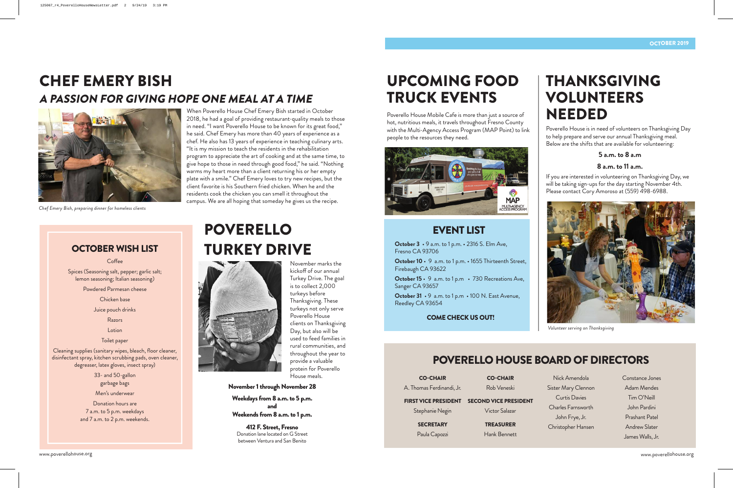## UPCOMING FOOD TRUCK EVENTS

Poverello House Mobile Cafe is more than just a source of hot, nutritious meals, it travels throughout Fresno County with the Multi-Agency Access Program (MAP Point) to link people to the resources they need.



### EVENT LIST

**October 3** • 9 a.m. to 1 p.m. • 2316 S. Elm Ave, Fresno CA 93706

**October 10** • 9 a.m. to 1 p.m. • 1655 Thirteenth Street, Firebaugh CA 93622

**October 15** • 9 a.m. to 1 p.m • 730 Recreations Ave, Sanger CA 93657

**October 31** • 9 a.m. to 1 p.m • 100 N. East Avenue, Reedley CA 93654

### COME CHECK US OUT!

## THANKSGIVING VOLUNTEERS NEEDED

Poverello House is in need of volunteers on Thanksgiving Day to help prepare and serve our annual Thanksgiving meal. Below are the shifts that are available for volunteering:

#### **5 a.m. to 8 a.m**

#### **8 a.m. to 11 a.m.**

If you are interested in volunteering on Thanksgiving Day, we will be taking sign-ups for the day starting November 4th. Please contact Cory Amoroso at (559) 498-6988.



*Volunteer serving on Thanksgiving*

### POVERELLO HOUSE BOARD OF DIRECTORS

CO-CHAIR A. Thomas Ferdinandi, Jr. CO-CHAIR

Rob Veneski

#### FIRST VICE PRESIDENT SECOND VICE PRESIDENT

Stephanie Negin

**SECRETARY** 

Paula Capozzi

Victor Salazar

TREASURER

Hank Bennett

Nick Amendola Sister Mary Clennon Curtis Davies Charles Farnsworth John Frye, Jr. Christopher Hansen Constance Jones Adam Mendes Tim O'Neill John Pardini Prashant Patel Andrew Slater James Walls, Jr.